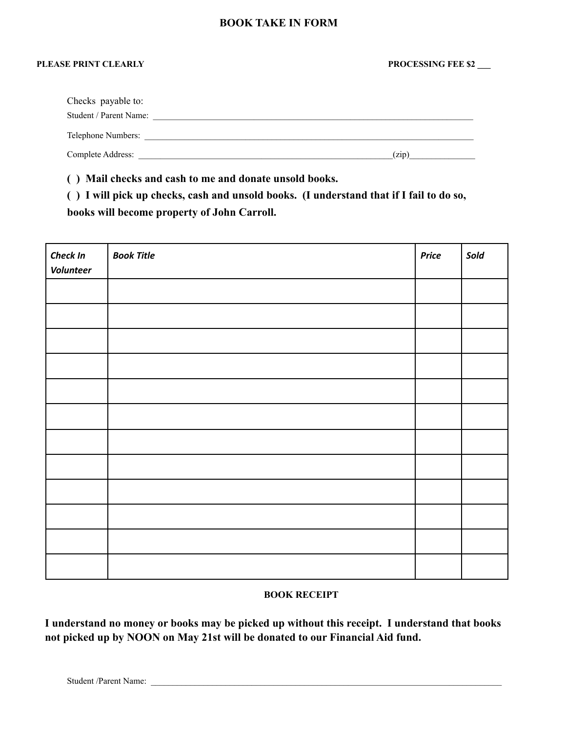### **BOOK TAKE IN FORM**

#### **PLEASE PRINT CLEARLY PROCESSING FEE \$2 \_\_\_**

| Checks payable to:<br>Student / Parent Name: |       |
|----------------------------------------------|-------|
| Telephone Numbers:                           |       |
| Complete Address:                            | (zin) |

**( ) Mail checks and cash to me and donate unsold books.**

**( ) I will pick up checks, cash and unsold books. (I understand that if I fail to do so, books will become property of John Carroll.**

| Check In<br><b>Volunteer</b> | <b>Book Title</b> | Price | Sold |
|------------------------------|-------------------|-------|------|
|                              |                   |       |      |
|                              |                   |       |      |
|                              |                   |       |      |
|                              |                   |       |      |
|                              |                   |       |      |
|                              |                   |       |      |
|                              |                   |       |      |
|                              |                   |       |      |
|                              |                   |       |      |
|                              |                   |       |      |
|                              |                   |       |      |
|                              |                   |       |      |

#### **BOOK RECEIPT**

**I understand no money or books may be picked up without this receipt. I understand that books not picked up by NOON on May 21st will be donated to our Financial Aid fund.**